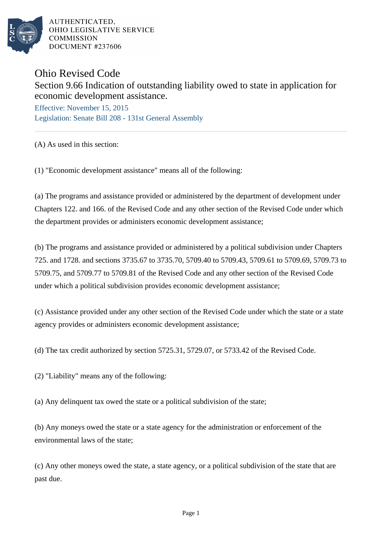

AUTHENTICATED. OHIO LEGISLATIVE SERVICE **COMMISSION DOCUMENT #237606** 

## Ohio Revised Code

## Section 9.66 Indication of outstanding liability owed to state in application for economic development assistance.

Effective: November 15, 2015 Legislation: Senate Bill 208 - 131st General Assembly

(A) As used in this section:

(1) "Economic development assistance" means all of the following:

(a) The programs and assistance provided or administered by the department of development under Chapters 122. and 166. of the Revised Code and any other section of the Revised Code under which the department provides or administers economic development assistance;

(b) The programs and assistance provided or administered by a political subdivision under Chapters 725. and 1728. and sections 3735.67 to 3735.70, 5709.40 to 5709.43, 5709.61 to 5709.69, 5709.73 to 5709.75, and 5709.77 to 5709.81 of the Revised Code and any other section of the Revised Code under which a political subdivision provides economic development assistance;

(c) Assistance provided under any other section of the Revised Code under which the state or a state agency provides or administers economic development assistance;

(d) The tax credit authorized by section 5725.31, 5729.07, or 5733.42 of the Revised Code.

(2) "Liability" means any of the following:

(a) Any delinquent tax owed the state or a political subdivision of the state;

(b) Any moneys owed the state or a state agency for the administration or enforcement of the environmental laws of the state;

(c) Any other moneys owed the state, a state agency, or a political subdivision of the state that are past due.